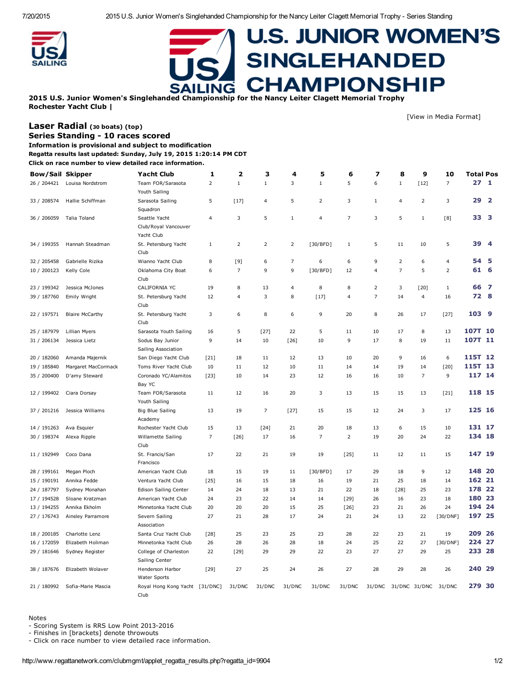7/20/2015 2015 U.S. Junior Women's Singlehanded Championship for the Nancy Leiter Clagett Memorial Trophy Series Standing



Laser [Radial](http://www.regattanetwork.com/clubmgmt/applet_regatta_results.php?regatta_id=9904&limit_fleet=Laser+Radial) (<sup>30</sup> boats) (top) Series Standing - 10 races scored

## **U.S. JUNIOR WOMEN'S SINGLEHANDED CHAMPIONSHIP** .ING

[View in Media [Format\]](http://www.regattanetwork.com/clubmgmt/applet_regatta_results.php?regatta_id=9904&media_format=1)

2015 U.S. Junior Women's Singlehanded Championship for the Nancy Leiter Clagett Memorial Trophy Rochester Yacht Club |

Information is provisional and subject to modification Regatta results last updated: Sunday, July 19, 2015 1:20:14 PM CDT Click on race number to view detailed race information. Bow/Sail Skipper Yacht Club [1](http://www.regattanetwork.com/clubmgmt/applet_race_scores.php?regatta_id=9904&race_num=1&fleet=Laser+Radial) [2](http://www.regattanetwork.com/clubmgmt/applet_race_scores.php?regatta_id=9904&race_num=2&fleet=Laser+Radial) [3](http://www.regattanetwork.com/clubmgmt/applet_race_scores.php?regatta_id=9904&race_num=3&fleet=Laser+Radial) [4](http://www.regattanetwork.com/clubmgmt/applet_race_scores.php?regatta_id=9904&race_num=4&fleet=Laser+Radial) [5](http://www.regattanetwork.com/clubmgmt/applet_race_scores.php?regatta_id=9904&race_num=5&fleet=Laser+Radial) [6](http://www.regattanetwork.com/clubmgmt/applet_race_scores.php?regatta_id=9904&race_num=6&fleet=Laser+Radial) [7](http://www.regattanetwork.com/clubmgmt/applet_race_scores.php?regatta_id=9904&race_num=7&fleet=Laser+Radial) [8](http://www.regattanetwork.com/clubmgmt/applet_race_scores.php?regatta_id=9904&race_num=8&fleet=Laser+Radial) [9](http://www.regattanetwork.com/clubmgmt/applet_race_scores.php?regatta_id=9904&race_num=9&fleet=Laser+Radial) [10](http://www.regattanetwork.com/clubmgmt/applet_race_scores.php?regatta_id=9904&race_num=10&fleet=Laser+Radial) Total Pos 26 / 204421 Louisa Nordstrom Team FOR/Sarasota Youth Sailing 2 1 1 3 1 5 6 1 [12] 7 **27 1** 33 / 208574 Hallie Schiffman Sarasota Sailing Squadron 5 [17] 4 5 2 3 1 4 2 3 **29 2** 36 / 206059 Talia Toland Seattle Yacht Club/Royal Vancouver Yacht Club 4 3 5 1 4 7 3 5 1 [8] **33 3** 34 / 199355 Hannah Steadman St. Petersburg Yacht Club 1 2 2 2 [30/BFD] 1 5 11 10 5 39 4 32 / 205458 Gabrielle Rizika Wianno Yacht Club 8 [9] 6 7 6 6 9 2 6 4 54 5 10 / 200123 Kelly Cole Oklahoma City Boat Club 6 7 9 9 [30/BFD] 12 4 7 5 2 61 6 23 / 199342 Jessica McJones CALIFORNIA YC 19 8 13 4 8 8 2 3 [20] 1 66 7 39 / 187760 Emily Wright St. Petersburg Yacht Club 12 4 3 8 [17] 4 7 14 4 16 72 8 22 / 197571 Blaire McCarthy St. Petersburg Yacht Club 3 6 8 6 9 20 8 26 17 [27] 103 9 25 / 187979 Lillian Myers Sarasota Youth Sailing 16 5 [27] 22 5 11 10 17 8 13 107T 10 31 / 206134 Jessica Lietz Sodus Bay Junior Sailing Association 9 14 10 [26] 10 9 17 8 19 11 107T 11 20 / 182060 Amanda Majernik San Diego Yacht Club [21] 18 11 12 13 10 20 9 16 6 115T 12 19 / 185840 Margaret MacCormack Toms River Yacht Club 10 11 12 10 11 14 14 19 14 [20] 115T 13 35 / 200400 D'amy Steward Coronado YC/Alamitos Bay YC [23] 10 14 23 12 16 16 10 7 9 117 14 12 / 199402 Ciara Dorsay Team FOR/Sarasota Youth Sailing 11 12 16 20 3 13 15 15 13 [21] **118 15** 37 / 201216 Jessica Williams Big Blue Sailing Academy 13 19 7 [27] 15 15 12 24 3 17 125 16 14 / 191263 Ava Esquier Rochester Yacht Club 15 13 [24] 21 20 18 13 6 15 10 131 17 30 / 198374 Alexa Ripple Willamette Sailing Club 7 [26] 17 16 7 2 19 20 24 22 **134 18** 11 / 192949 Coco Dana St. Francis/San Francisco 17 22 21 19 19 [25] 11 12 11 15 147 19 28 / 199161 Megan Ploch **American Yacht Club** 18 15 19 11 [30/BFD] 17 29 18 9 12 **148 20** 15 / 190191 Annika Fedde Ventura Yacht Club [25] 16 15 18 16 19 21 25 18 14 162 21 24 / 187797 Sydney Monahan Edison Sailing Center 14 24 18 13 21 22 18 [28] 25 23 178 22 17 / 194528 Sloane Kratzman american Yacht Club 24 23 22 14 14 [29] 26 16 23 18 180 23 13 / 194255 Annika Ekholm Minnetonka Yacht Club 20 20 20 15 25 [26] 23 21 26 24 194 24 27 / 176743 Ainsley Parramore Severn Sailing Association 27 21 28 17 24 21 24 13 22 [30/DNF] **197 25** 18 / 200185 Charlotte Lenz Santa Cruz Yacht Club [28] 25 23 25 23 28 22 23 21 19 209 26 16 / 172059 Elizabeth Holiman Minnetonka Yacht Club 26 28 26 28 18 24 25 22 27 [30/DNF] 224 27 29 / 181646 Sydney Register College of Charleston Sailing Center 22 [29] 29 29 22 23 27 27 29 25 233 28 38 / 187676 Elizabeth Wolaver Henderson Harbor Water Sports [29] 27 25 24 26 27 28 29 28 26 240 29 21 / 180992 Sofia-Marie Mascia Royal Hong Kong Yacht [31/DNC] Club [31/DNC] 31/DNC 31/DNC 31/DNC 31/DNC 31/DNC 31/DNC 31/DNC 31/DNC 31/DNC 279 30

## Notes

- Scoring System is RRS Low Point 2013-2016

Finishes in [brackets] denote throwouts

Click on race number to view detailed race information.